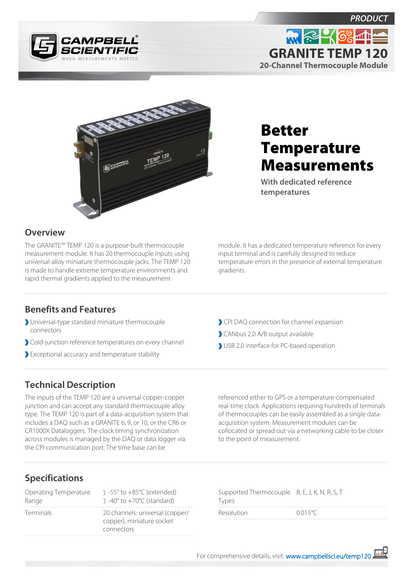





# Better **Temperature** Measurements

**With dedicated reference temperatures**

### **Overview**

The GRANITE™ TEMP 120 is a purpose-built thermocouple measurement module. It has 20 thermocouple inputs using universal-alloy miniature thermocouple jacks. The TEMP 120 is made to handle extreme temperature environments and rapid thermal gradients applied to the measurement

module. It has a dedicated temperature reference for every input terminal and is carefully designed to reduce temperature errors in the presence of external temperature gradients.

#### **Benefits and Features**

- Universal-type standard miniature thermocouple connectors
- Cold-junction reference temperatures on every channel
- Exceptional accuracy and temperature stability
- CPI DAQ connection for channel expansion
- CANbus 2.0 A/B output available
- USB 2.0 interface for PC-based operation

## **Technical Description**

The inputs of the TEMP 120 are a universal copper-copper junction and can accept any standard thermocouple alloy type. The TEMP 120 is part of a data-acquisition system that includes a DAQ such as a GRANITE 6, 9, or 10, or the CR6 or CR1000X Dataloggers. The clock timing synchronization across modules is managed by the DAQ or data logger via the CPI communication port. The time base can be

referenced either to GPS or a temperature-compensated real-time clock. Applications requiring hundreds of terminals of thermocouples can be easily assembled as a single dataacquisition system. Measurement modules can be collocated or spread out via a networking cable to be closer to the point of measurement.

## **Specifications**

| Operating Temperature | $\rightarrow$ -55 $\degree$ to +85 $\degree$ C (extended)                  |
|-----------------------|----------------------------------------------------------------------------|
| Range                 | $\rightarrow$ -40 $\degree$ to +70 $\degree$ C (standard)                  |
| <b>Terminals</b>      | 20 channels: universal (copper/<br>copper), miniature socket<br>connectors |

Supported Thermocouple B, E, J, K, N, R, S, T Types Resolution 0.015°C